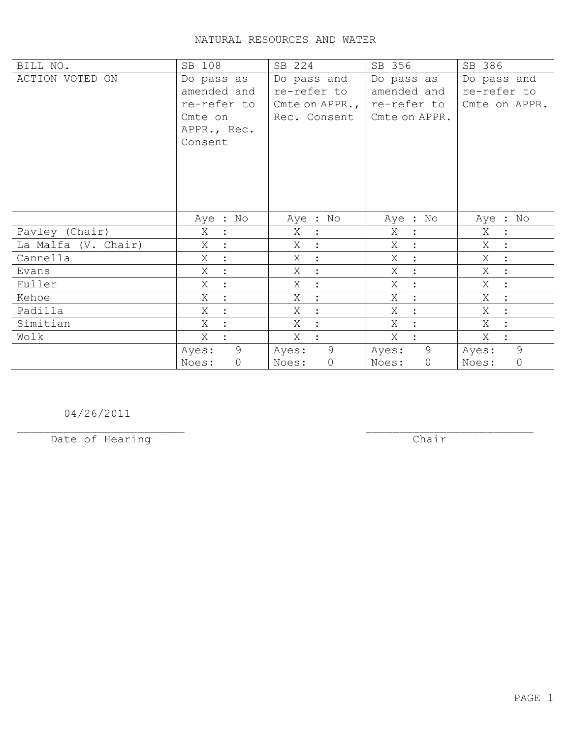## NATURAL RESOURCES AND WATER

| BILL NO.            | SB 108                                   | SB 224                                               | SB 356                                   | SB 386                                      |
|---------------------|------------------------------------------|------------------------------------------------------|------------------------------------------|---------------------------------------------|
| ACTION VOTED ON     | Do pass as<br>amended and<br>re-refer to | Do pass and<br>re-refer to<br>Cmte on APPR., $\vert$ | Do pass as<br>amended and<br>re-refer to | Do pass and<br>re-refer to<br>Cmte on APPR. |
|                     | Cmte on                                  | Rec. Consent                                         | Cmte on APPR.                            |                                             |
|                     | APPR., Rec.                              |                                                      |                                          |                                             |
|                     | Consent                                  |                                                      |                                          |                                             |
|                     |                                          |                                                      |                                          |                                             |
|                     |                                          |                                                      |                                          |                                             |
|                     |                                          |                                                      |                                          |                                             |
|                     |                                          |                                                      |                                          |                                             |
|                     | Aye : No                                 | Aye : No                                             | Aye : No                                 | Aye : No                                    |
| Pavley (Chair)      | Χ<br>$\ddot{\cdot}$                      | Χ<br>$\mathbf{L}$                                    | Χ<br>$\ddot{\phantom{1}}$                | $X_{-}$<br>$\mathbf{L}$                     |
| La Malfa (V. Chair) | Χ                                        | Χ<br>$\mathbb{R}^2$                                  | X<br>$\ddot{\cdot}$                      | X<br>$\mathbb{R}^2$                         |
| Cannella            | X<br>$\sim$ 1 $^{\circ}$                 | X<br>$\sim$ $\sim$                                   | X<br>$\ddot{\cdot}$                      | Χ<br>$\therefore$                           |
| Evans               | X :                                      | Χ<br>$\mathbb{R}^2$                                  | $\ddot{\cdot}$<br>X                      | X :                                         |
| Fuller              | Χ<br>$\ddot{\cdot}$                      | $\ddot{\cdot}$<br>Χ                                  | Χ<br>$\ddot{\cdot}$                      | Χ<br>$\ddot{\cdot}$                         |
| Kehoe               | X<br>$\cdot$ .                           | X<br>$\ddot{\cdot}$                                  | X<br>$\cdot$                             | X<br>$\ddot{\phantom{a}}$                   |
| Padilla             | Χ<br>$\bullet$                           | Χ<br>$\ddot{\cdot}$                                  | Χ<br>$\cdot$                             | Χ<br>$\ddot{\cdot}$                         |
| Simitian            | X                                        | X<br>$\ddot{\cdot}$                                  | X<br>$\ddot{\cdot}$                      | X                                           |
| Wolk                | X                                        | X<br>$\ddot{\cdot}$                                  | X                                        | X<br>$\ddot{\cdot}$                         |
|                     | 9<br>Ayes:                               | 9<br>Ayes:                                           | 9<br>Ayes:                               | 9<br>Ayes:                                  |
|                     | Noes:<br>$\circ$                         | $\circledcirc$<br>Noes:                              | $\circ$<br>Noes:                         | $\circ$<br>Noes:                            |

04/26/2011

Date of Hearing

 $\overline{**chair**}$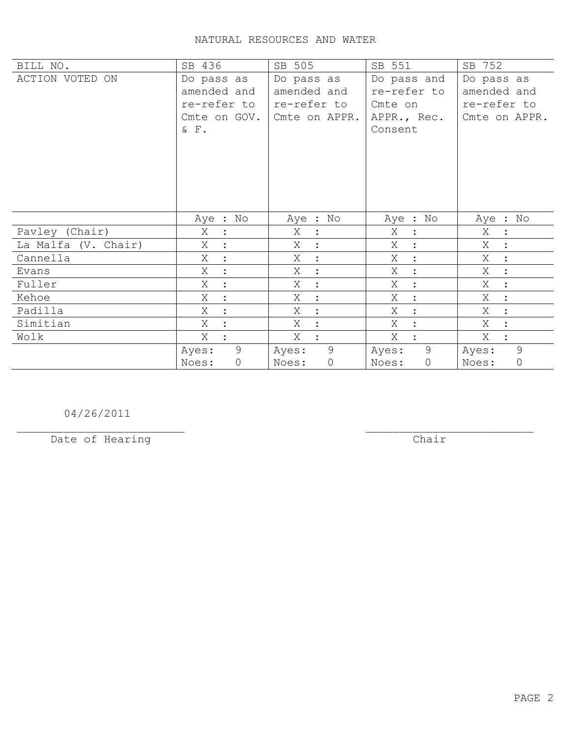## NATURAL RESOURCES AND WATER

| BILL NO.            | SB 436                                                             | SB 505                                                    | SB 551                                                          | SB 752                                                    |
|---------------------|--------------------------------------------------------------------|-----------------------------------------------------------|-----------------------------------------------------------------|-----------------------------------------------------------|
| ACTION VOTED ON     | Do pass as<br>amended and<br>re-refer to<br>Cmte on GOV.<br>$&$ F. | Do pass as<br>amended and<br>re-refer to<br>Cmte on APPR. | Do pass and<br>re-refer to<br>Cmte on<br>APPR., Rec.<br>Consent | Do pass as<br>amended and<br>re-refer to<br>Cmte on APPR. |
|                     | Aye : No                                                           | Aye : No                                                  | Aye : No                                                        | Aye : No                                                  |
| Pavley (Chair)      | Χ<br>$\ddot{\cdot}$                                                | Χ<br>$\ddot{\phantom{1}}$ :                               | X<br>$\ddot{\cdot}$                                             | X<br>$\sim$ :                                             |
| La Malfa (V. Chair) | Χ                                                                  | X<br>$\cdot$ :                                            | X<br>$\ddot{\cdot}$                                             | Χ<br>$\ddot{\cdot}$                                       |
| Cannella            | Χ<br>$\mathbf{r}$                                                  | Χ<br>$\mathbb{R}^2$                                       | $\ddot{\cdot}$<br>Χ                                             | Χ<br>$\sim$ 1 $^{\circ}$                                  |
| Evans               | X                                                                  | X<br>$\ddot{\phantom{1}}$ :                               | Χ<br>$\ddot{\cdot}$                                             | X<br>$\ddot{\cdot}$                                       |
| Fuller              | Χ                                                                  | Χ<br>$\ddot{\cdot}$                                       | Χ<br>$\ddot{\cdot}$                                             | Χ<br>$\ddot{\cdot}$                                       |
| Kehoe               | Χ                                                                  | Χ<br>$\ddot{\cdot}$                                       | Χ<br>$\ddot{\cdot}$                                             | Χ<br>$\ddot{\cdot}$                                       |
| Padilla             | X                                                                  | Χ                                                         | Χ<br>$\ddot{\cdot}$                                             | X<br>$\ddot{\cdot}$                                       |
| Simitian            | X                                                                  | X<br>$\ddot{\cdot}$                                       | X<br>$\ddot{\cdot}$                                             | X<br>$\ddot{\cdot}$                                       |
| Wolk                | X                                                                  | Χ                                                         | X                                                               | Χ                                                         |
|                     | 9<br>Ayes:<br>0<br>Noes:                                           | 9<br>Ayes:<br>$\circ$<br>Noes:                            | 9<br>Ayes:<br>$\overline{0}$<br>Noes:                           | 9<br>Ayes:<br>$\mathsf{O}$<br>Noes:                       |

04/26/2011

Date of Hearing

 $\overline{**chair**}$